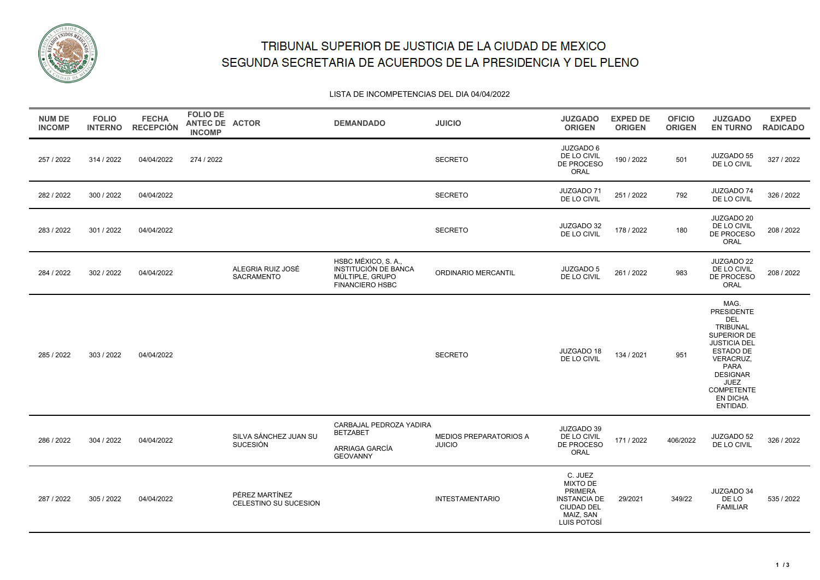

# TRIBUNAL SUPERIOR DE JUSTICIA DE LA CIUDAD DE MEXICO SEGUNDA SECRETARIA DE ACUERDOS DE LA PRESIDENCIA Y DEL PLENO

### LISTA DE INCOMPETENCIAS DEL DIA 04/04/2022

| <b>NUM DE</b><br><b>INCOMP</b> | <b>FOLIO</b><br><b>INTERNO</b> | <b>FECHA</b><br><b>RECEPCIÓN</b> | <b>FOLIO DE</b><br><b>ANTEC DE ACTOR</b><br><b>INCOMP</b> |                                         | <b>DEMANDADO</b>                                                                         | <b>JUICIO</b>                                  | <b>JUZGADO</b><br><b>ORIGEN</b>                                                                                      | <b>EXPED DE</b><br><b>ORIGEN</b> | <b>OFICIO</b><br><b>ORIGEN</b> | <b>JUZGADO</b><br><b>EN TURNO</b>                                                                                                                                                                                 | <b>EXPED</b><br><b>RADICADO</b> |
|--------------------------------|--------------------------------|----------------------------------|-----------------------------------------------------------|-----------------------------------------|------------------------------------------------------------------------------------------|------------------------------------------------|----------------------------------------------------------------------------------------------------------------------|----------------------------------|--------------------------------|-------------------------------------------------------------------------------------------------------------------------------------------------------------------------------------------------------------------|---------------------------------|
| 257 / 2022                     | 314 / 2022                     | 04/04/2022                       | 274 / 2022                                                |                                         |                                                                                          | <b>SECRETO</b>                                 | JUZGADO 6<br>DE LO CIVIL<br>DE PROCESO<br>ORAL                                                                       | 190 / 2022                       | 501                            | JUZGADO 55<br>DE LO CIVIL                                                                                                                                                                                         | 327 / 2022                      |
| 282 / 2022                     | 300 / 2022                     | 04/04/2022                       |                                                           |                                         |                                                                                          | <b>SECRETO</b>                                 | JUZGADO 71<br>DE LO CIVIL                                                                                            | 251 / 2022                       | 792                            | JUZGADO 74<br>DE LO CIVIL                                                                                                                                                                                         | 326 / 2022                      |
| 283 / 2022                     | 301 / 2022                     | 04/04/2022                       |                                                           |                                         |                                                                                          | <b>SECRETO</b>                                 | JUZGADO 32<br>DE LO CIVIL                                                                                            | 178 / 2022                       | 180                            | JUZGADO 20<br>DE LO CIVIL<br>DE PROCESO<br>ORAL                                                                                                                                                                   | 208 / 2022                      |
| 284 / 2022                     | 302 / 2022                     | 04/04/2022                       |                                                           | ALEGRIA RUIZ JOSÉ<br>SACRAMENTO         | HSBC MÉXICO, S. A.,<br>INSTITUCIÓN DE BANCA<br>MÚLTIPLE, GRUPO<br><b>FINANCIERO HSBC</b> | ORDINARIO MERCANTIL                            | <b>JUZGADO 5</b><br>DE LO CIVIL                                                                                      | 261 / 2022                       | 983                            | JUZGADO 22<br>DE LO CIVIL<br>DE PROCESO<br>ORAL                                                                                                                                                                   | 208 / 2022                      |
| 285 / 2022                     | 303 / 2022                     | 04/04/2022                       |                                                           |                                         |                                                                                          | <b>SECRETO</b>                                 | JUZGADO 18<br>DE LO CIVIL                                                                                            | 134 / 2021                       | 951                            | MAG.<br>PRESIDENTE<br><b>DEL</b><br>TRIBUNAL<br>SUPERIOR DE<br><b>JUSTICIA DEL</b><br><b>ESTADO DE</b><br>VERACRUZ,<br>PARA<br><b>DESIGNAR</b><br><b>JUEZ</b><br><b>COMPETENTE</b><br><b>EN DICHA</b><br>ENTIDAD. |                                 |
| 286 / 2022                     | 304 / 2022                     | 04/04/2022                       |                                                           | SILVA SÁNCHEZ JUAN SU<br>SUCESIÓN       | CARBAJAL PEDROZA YADIRA<br><b>BETZABET</b><br>ARRIAGA GARCÍA<br><b>GEOVANNY</b>          | <b>MEDIOS PREPARATORIOS A</b><br><b>JUICIO</b> | JUZGADO 39<br>DE LO CIVIL<br>DE PROCESO<br><b>ORAL</b>                                                               | 171 / 2022                       | 406/2022                       | JUZGADO 52<br>DE LO CIVIL                                                                                                                                                                                         | 326 / 2022                      |
| 287 / 2022                     | 305 / 2022                     | 04/04/2022                       |                                                           | PÉREZ MARTÍNEZ<br>CELESTINO SU SUCESION |                                                                                          | <b>INTESTAMENTARIO</b>                         | C. JUEZ<br><b>MIXTO DE</b><br><b>PRIMERA</b><br><b>INSTANCIA DE</b><br><b>CIUDAD DEL</b><br>MAIZ, SAN<br>LUIS POTOSÍ | 29/2021                          | 349/22                         | JUZGADO 34<br>DE LO<br><b>FAMILIAR</b>                                                                                                                                                                            | 535 / 2022                      |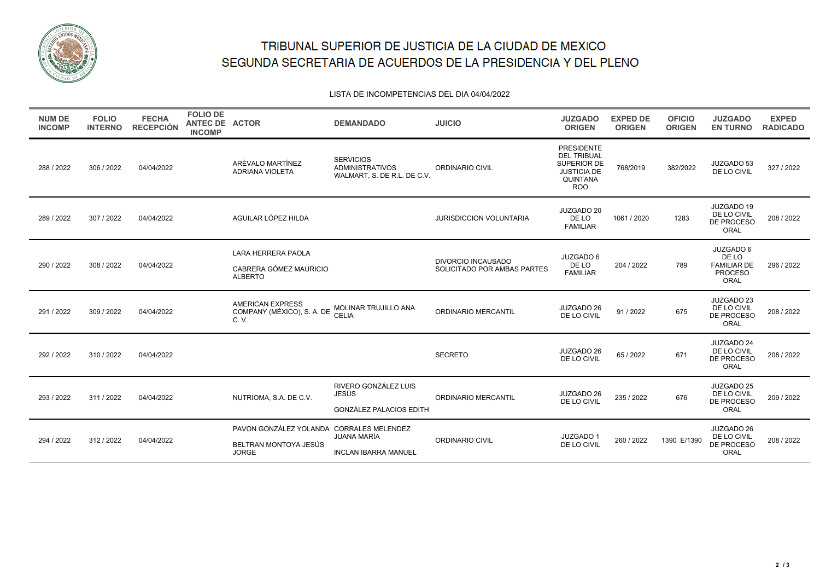

# TRIBUNAL SUPERIOR DE JUSTICIA DE LA CIUDAD DE MEXICO SEGUNDA SECRETARIA DE ACUERDOS DE LA PRESIDENCIA Y DEL PLENO

#### LISTA DE INCOMPETENCIAS DEL DIA 04/04/2022

| <b>NUM DE</b><br><b>INCOMP</b> | <b>FOLIO</b><br><b>INTERNO</b> | <b>FECHA</b><br><b>RECEPCIÓN</b> | <b>FOLIO DE</b><br>ANTEC DE ACTOR<br><b>INCOMP</b> |                                                                                   | <b>DEMANDADO</b>                                                          | <b>JUICIO</b>                                            | <b>JUZGADO</b><br><b>ORIGEN</b>                                                                        | <b>EXPED DE</b><br><b>ORIGEN</b> | <b>OFICIO</b><br><b>ORIGEN</b> | <b>JUZGADO</b><br><b>EN TURNO</b>                                  | <b>EXPED</b><br><b>RADICADO</b> |
|--------------------------------|--------------------------------|----------------------------------|----------------------------------------------------|-----------------------------------------------------------------------------------|---------------------------------------------------------------------------|----------------------------------------------------------|--------------------------------------------------------------------------------------------------------|----------------------------------|--------------------------------|--------------------------------------------------------------------|---------------------------------|
| 288 / 2022                     | 306 / 2022                     | 04/04/2022                       |                                                    | ARÉVALO MARTÍNEZ<br><b>ADRIANA VIOLETA</b>                                        | <b>SERVICIOS</b><br><b>ADMINISTRATIVOS</b><br>WALMART, S. DE R.L. DE C.V. | ORDINARIO CIVIL                                          | <b>PRESIDENTE</b><br><b>DEL TRIBUAL</b><br>SUPERIOR DE<br><b>JUSTICIA DE</b><br>QUINTANA<br><b>ROO</b> | 768/2019                         | 382/2022                       | JUZGADO 53<br>DE LO CIVIL                                          | 327 / 2022                      |
| 289 / 2022                     | 307 / 2022                     | 04/04/2022                       |                                                    | AGUILAR LÓPEZ HILDA                                                               |                                                                           | JURISDICCION VOLUNTARIA                                  | JUZGADO 20<br>DE LO<br><b>FAMILIAR</b>                                                                 | 1061 / 2020                      | 1283                           | JUZGADO 19<br>DE LO CIVIL<br>DE PROCESO<br>ORAL                    | 208 / 2022                      |
| 290 / 2022                     | 308 / 2022                     | 04/04/2022                       |                                                    | LARA HERRERA PAOLA<br>CABRERA GÓMEZ MAURICIO<br><b>ALBERTO</b>                    |                                                                           | <b>DIVORCIO INCAUSADO</b><br>SOLICITADO POR AMBAS PARTES | JUZGADO 6<br>DE LO<br><b>FAMILIAR</b>                                                                  | 204 / 2022                       | 789                            | JUZGADO 6<br>DE LO<br><b>FAMILIAR DE</b><br><b>PROCESO</b><br>ORAL | 296 / 2022                      |
| 291 / 2022                     | 309 / 2022                     | 04/04/2022                       |                                                    | <b>AMERICAN EXPRESS</b><br>COMPANY (MÉXICO), S. A. DE<br>C. V.                    | <b>MOLINAR TRUJILLO ANA</b><br><b>CELIA</b>                               | ORDINARIO MERCANTIL                                      | JUZGADO 26<br>DE LO CIVIL                                                                              | 91/2022                          | 675                            | JUZGADO 23<br>DE LO CIVIL<br>DE PROCESO<br>ORAL                    | 208 / 2022                      |
| 292 / 2022                     | 310 / 2022                     | 04/04/2022                       |                                                    |                                                                                   |                                                                           | <b>SECRETO</b>                                           | JUZGADO 26<br>DE LO CIVIL                                                                              | 65 / 2022                        | 671                            | JUZGADO 24<br>DE LO CIVIL<br>DE PROCESO<br>ORAL                    | 208 / 2022                      |
| 293/2022                       | 311/2022                       | 04/04/2022                       |                                                    | NUTRIOMA, S.A. DE C.V.                                                            | RIVERO GONZÁLEZ LUIS<br><b>JESÚS</b><br><b>GONZÁLEZ PALACIOS EDITH</b>    | ORDINARIO MERCANTIL                                      | JUZGADO 26<br>DE LO CIVIL                                                                              | 235 / 2022                       | 676                            | JUZGADO 25<br>DE LO CIVIL<br>DE PROCESO<br>ORAL                    | 209 / 2022                      |
| 294 / 2022                     | 312 / 2022                     | 04/04/2022                       |                                                    | PAVON GONZÁLEZ YOLANDA CORRALES MELENDEZ<br>BELTRAN MONTOYA JESÚS<br><b>JORGE</b> | JUANA MARÍA<br><b>INCLAN IBARRA MANUEL</b>                                | <b>ORDINARIO CIVIL</b>                                   | JUZGADO 1<br>DE LO CIVIL                                                                               | 260 / 2022                       | 1390 E/1390                    | JUZGADO 26<br>DE LO CIVIL<br>DE PROCESO<br>ORAL                    | 208 / 2022                      |